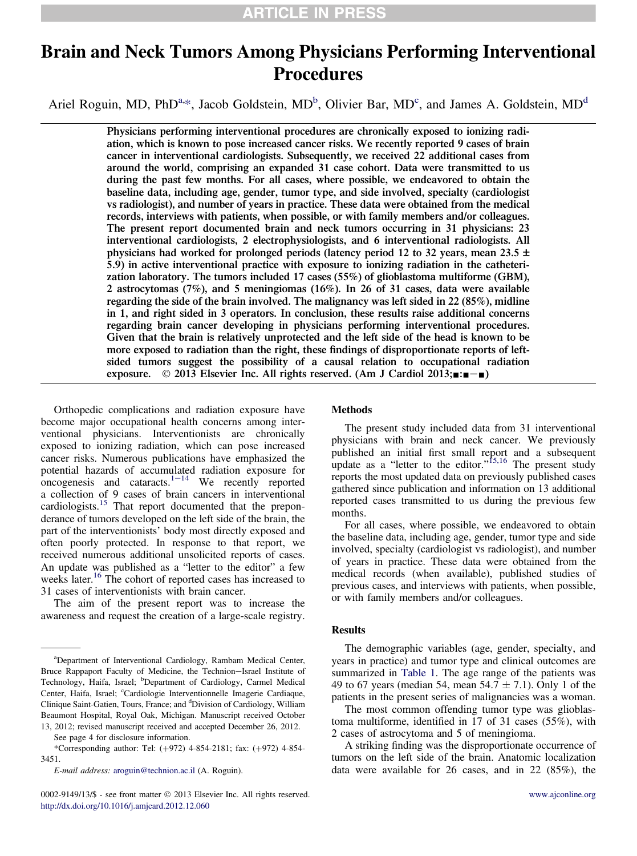# Brain and Neck Tumors Among Physicians Performing Interventional Procedures

Ariel Roguin, MD, PhD<sup>a,\*</sup>, Jacob Goldstein, MD<sup>b</sup>, Olivier Bar, MD<sup>c</sup>, and James A. Goldstein, MD<sup>d</sup>

Physicians performing interventional procedures are chronically exposed to ionizing radiation, which is known to pose increased cancer risks. We recently reported 9 cases of brain cancer in interventional cardiologists. Subsequently, we received 22 additional cases from around the world, comprising an expanded 31 case cohort. Data were transmitted to us during the past few months. For all cases, where possible, we endeavored to obtain the baseline data, including age, gender, tumor type, and side involved, specialty (cardiologist vs radiologist), and number of years in practice. These data were obtained from the medical records, interviews with patients, when possible, or with family members and/or colleagues. The present report documented brain and neck tumors occurring in 31 physicians: 23 interventional cardiologists, 2 electrophysiologists, and 6 interventional radiologists. All physicians had worked for prolonged periods (latency period 12 to 32 years, mean 23.5  $\pm$ 5.9) in active interventional practice with exposure to ionizing radiation in the catheterization laboratory. The tumors included 17 cases (55%) of glioblastoma multiforme (GBM), 2 astrocytomas (7%), and 5 meningiomas (16%). In 26 of 31 cases, data were available regarding the side of the brain involved. The malignancy was left sided in 22 (85%), midline in 1, and right sided in 3 operators. In conclusion, these results raise additional concerns regarding brain cancer developing in physicians performing interventional procedures. Given that the brain is relatively unprotected and the left side of the head is known to be more exposed to radiation than the right, these findings of disproportionate reports of leftsided tumors suggest the possibility of a causal relation to occupational radiation exposure.  $\circ$  2013 Elsevier Inc. All rights reserved. (Am J Cardiol 2013; $\blacksquare$ : $\blacksquare$ 

Orthopedic complications and radiation exposure have become major occupational health concerns among interventional physicians. Interventionists are chronically exposed to ionizing radiation, which can pose increased cancer risks. Numerous publications have emphasized the potential hazards of accumulated radiation exposure for oncogenesis and cataracts.<sup>[1](#page-3-0)-[14](#page-3-0)</sup> We recently reported a collection of 9 cases of brain cancers in interventional cardiologists.<sup>[15](#page-3-0)</sup> That report documented that the preponderance of tumors developed on the left side of the brain, the part of the interventionists' body most directly exposed and often poorly protected. In response to that report, we received numerous additional unsolicited reports of cases. An update was published as a "letter to the editor" a few weeks later.<sup>[16](#page-3-0)</sup> The cohort of reported cases has increased to 31 cases of interventionists with brain cancer.

The aim of the present report was to increase the awareness and request the creation of a large-scale registry.

See page 4 for disclosure information.

E-mail address: [aroguin@technion.ac.il](mailto:aroguin@technion.ac.il) (A. Roguin).

0002-9149/13/\$ - see front matter  $\odot$  2013 Elsevier Inc. All rights reserved. [www.ajconline.org](http://www.ajconline.org) <http://dx.doi.org/10.1016/j.amjcard.2012.12.060>

### Methods

The present study included data from 31 interventional physicians with brain and neck cancer. We previously published an initial first small report and a subsequent update as a "letter to the editor."<sup>[15,16](#page-3-0)</sup> The present study reports the most updated data on previously published cases gathered since publication and information on 13 additional reported cases transmitted to us during the previous few months.

For all cases, where possible, we endeavored to obtain the baseline data, including age, gender, tumor type and side involved, specialty (cardiologist vs radiologist), and number of years in practice. These data were obtained from the medical records (when available), published studies of previous cases, and interviews with patients, when possible, or with family members and/or colleagues.

### Results

The demographic variables (age, gender, specialty, and years in practice) and tumor type and clinical outcomes are summarized in [Table 1](#page-1-0). The age range of the patients was 49 to 67 years (median 54, mean 54.7  $\pm$  7.1). Only 1 of the patients in the present series of malignancies was a woman.

The most common offending tumor type was glioblastoma multiforme, identified in 17 of 31 cases (55%), with 2 cases of astrocytoma and 5 of meningioma.

A striking finding was the disproportionate occurrence of tumors on the left side of the brain. Anatomic localization data were available for 26 cases, and in 22 (85%), the

a Department of Interventional Cardiology, Rambam Medical Center, Bruce Rappaport Faculty of Medicine, the Technion-Israel Institute of Technology, Haifa, Israel; <sup>b</sup>Department of Cardiology, Carmel Medical Center, Haifa, Israel; Cardiologie Interventionnelle Imagerie Cardiaque, Clinique Saint-Gatien, Tours, France; and <sup>d</sup>Division of Cardiology, William Beaumont Hospital, Royal Oak, Michigan. Manuscript received October 13, 2012; revised manuscript received and accepted December 26, 2012.

<sup>\*</sup>Corresponding author: Tel: (+972) 4-854-2181; fax: (+972) 4-854-3451.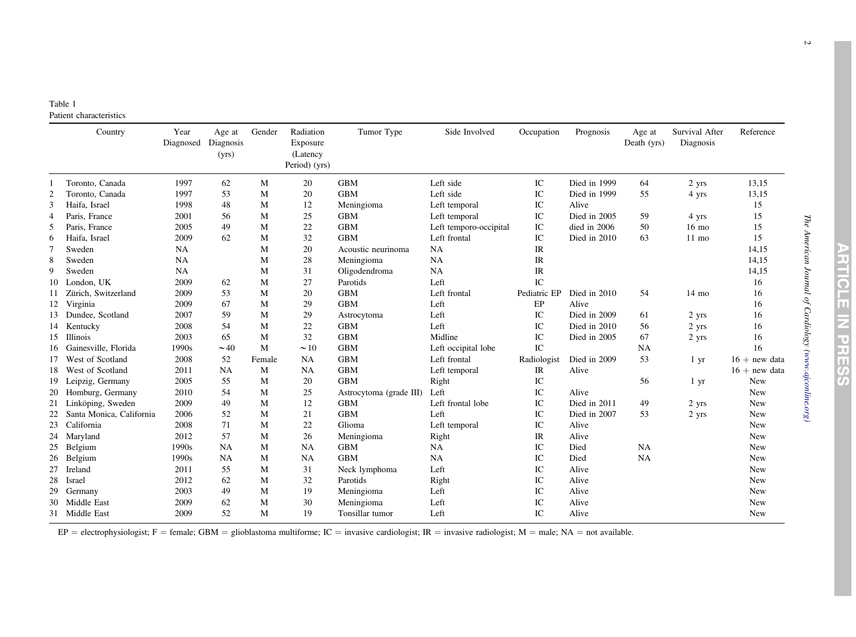<span id="page-1-0"></span>

| Table 1                 |
|-------------------------|
| Patient characteristics |

|                | Country                  | Year<br>Diagnosed | Age at<br>Diagnosis<br>(yrs) | Gender | Radiation<br>Exposure<br>(Latency<br>Period) (yrs) | Tumor Type              | Side Involved          | Occupation                        | Prognosis    | Age at<br>Death (yrs) | Survival After<br>Diagnosis | Reference       |
|----------------|--------------------------|-------------------|------------------------------|--------|----------------------------------------------------|-------------------------|------------------------|-----------------------------------|--------------|-----------------------|-----------------------------|-----------------|
|                | Toronto, Canada          | 1997              | 62                           | М      | 20                                                 | <b>GBM</b>              | Left side              | IC                                | Died in 1999 | 64                    | 2 yrs                       | 13,15           |
| $\overline{2}$ | Toronto, Canada          | 1997              | 53                           | M      | 20                                                 | <b>GBM</b>              | Left side              | IC                                | Died in 1999 | 55                    | 4 yrs                       | 13,15           |
| 3              | Haifa, Israel            | 1998              | 48                           | M      | 12                                                 | Meningioma              | Left temporal          | IC                                | Alive        |                       |                             | 15              |
| $\overline{4}$ | Paris, France            | 2001              | 56                           | M      | 25                                                 | <b>GBM</b>              | Left temporal          | IC                                | Died in 2005 | 59                    | 4 yrs                       | 15              |
| 5              | Paris, France            | 2005              | 49                           | M      | 22                                                 | <b>GBM</b>              | Left temporo-occipital | IC                                | died in 2006 | 50                    | $16 \text{ mo}$             | 15              |
| 6              | Haifa, Israel            | 2009              | 62                           | M      | 32                                                 | <b>GBM</b>              | Left frontal           | IC                                | Died in 2010 | 63                    | $11$ mo                     | 15              |
| $\overline{7}$ | Sweden                   | <b>NA</b>         |                              | M      | 20                                                 | Acoustic neurinoma      | <b>NA</b>              | $\ensuremath{\mathsf{IR}}\xspace$ |              |                       |                             | 14,15           |
| 8              | Sweden                   | NA                |                              | M      | 28                                                 | Meningioma              | <b>NA</b>              | IR                                |              |                       |                             | 14,15           |
| 9              | Sweden                   | <b>NA</b>         |                              | M      | 31                                                 | Oligodendroma           | NA                     | $\ensuremath{\mathsf{IR}}\xspace$ |              |                       |                             | 14,15           |
| 10             | London, UK               | 2009              | 62                           | M      | 27                                                 | Parotids                | Left                   | IC                                |              |                       |                             | 16              |
| 11             | Zürich, Switzerland      | 2009              | 53                           | M      | 20                                                 | <b>GBM</b>              | Left frontal           | Pediatric EP                      | Died in 2010 | 54                    | $14 \text{ mo}$             | 16              |
|                | 12 Virginia              | 2009              | 67                           | M      | 29                                                 | <b>GBM</b>              | Left                   | EP                                | Alive        |                       |                             | 16              |
| 13             | Dundee, Scotland         | 2007              | 59                           | M      | 29                                                 | Astrocytoma             | Left                   | IC                                | Died in 2009 | 61                    | 2 yrs                       | 16              |
| 14             | Kentucky                 | 2008              | 54                           | M      | 22                                                 | <b>GBM</b>              | Left                   | $\rm{IC}$                         | Died in 2010 | 56                    | 2 yrs                       | 16              |
| 15             | <b>Illinois</b>          | 2003              | 65                           | M      | 32                                                 | <b>GBM</b>              | Midline                | IC                                | Died in 2005 | 67                    | 2 yrs                       | 16              |
| 16             | Gainesville, Florida     | 1990s             | $\sim$ 40                    | M      | $\sim$ 10                                          | <b>GBM</b>              | Left occipital lobe    | IC                                |              | <b>NA</b>             |                             | 16              |
| 17             | West of Scotland         | 2008              | 52                           | Female | <b>NA</b>                                          | <b>GBM</b>              | Left frontal           | Radiologist                       | Died in 2009 | 53                    | 1 yr                        | $16 + new data$ |
| 18             | West of Scotland         | 2011              | <b>NA</b>                    | M      | NA                                                 | <b>GBM</b>              | Left temporal          | IR                                | Alive        |                       |                             | $16 + new data$ |
| 19             | Leipzig, Germany         | 2005              | 55                           | M      | 20                                                 | <b>GBM</b>              | Right                  | IC                                |              | 56                    | 1 yr                        | <b>New</b>      |
| 20             | Homburg, Germany         | 2010              | 54                           | M      | 25                                                 | Astrocytoma (grade III) | Left                   | $\rm{IC}$                         | Alive        |                       |                             | New             |
| 21             | Linköping, Sweden        | 2009              | 49                           | M      | 12                                                 | <b>GBM</b>              | Left frontal lobe      | IC                                | Died in 2011 | 49                    | 2 yrs                       | New             |
| 22             | Santa Monica, California | 2006              | 52                           | M      | 21                                                 | <b>GBM</b>              | Left                   | $\rm{IC}$                         | Died in 2007 | 53                    | 2 yrs                       | New             |
| 23             | California               | 2008              | 71                           | M      | 22                                                 | Glioma                  | Left temporal          | IC                                | Alive        |                       |                             | New             |
| 24             | Maryland                 | 2012              | 57                           | M      | 26                                                 | Meningioma              | Right                  | IR                                | Alive        |                       |                             | New             |
| 25             | Belgium                  | 1990s             | <b>NA</b>                    | M      | NA                                                 | <b>GBM</b>              | NA                     | IC                                | Died         | <b>NA</b>             |                             | New             |
| 26             | Belgium                  | 1990s             | <b>NA</b>                    | M      | NA                                                 | <b>GBM</b>              | NA                     | IC                                | Died         | NA                    |                             | <b>New</b>      |
| 27             | Ireland                  | 2011              | 55                           | M      | 31                                                 | Neck lymphoma           | Left                   | $\rm{IC}$                         | Alive        |                       |                             | <b>New</b>      |
| 28             | Israel                   | 2012              | 62                           | M      | 32                                                 | Parotids                | Right                  | $\rm{IC}$                         | Alive        |                       |                             | <b>New</b>      |
| 29             | Germany                  | 2003              | 49                           | М      | 19                                                 | Meningioma              | Left                   | $\rm{IC}$                         | Alive        |                       |                             | <b>New</b>      |
| 30             | Middle East              | 2009              | 62                           | M      | 30                                                 | Meningioma              | Left                   | IC                                | Alive        |                       |                             | New             |
|                | 31 Middle East           | 2009              | 52                           | M      | 19                                                 | Tonsillar tumor         | Left                   | IC                                | Alive        |                       |                             | New             |

EP = electrophysiologist; F = female; GBM = glioblastoma multiforme; IC = invasive cardiologist; IR = invasive radiologist; M = male; NA = not available.

The American Journal of Cardiology (www.ajconline.org) The American Journal of Cardiology [\(www.ajconline.org](http://www.ajconline.org))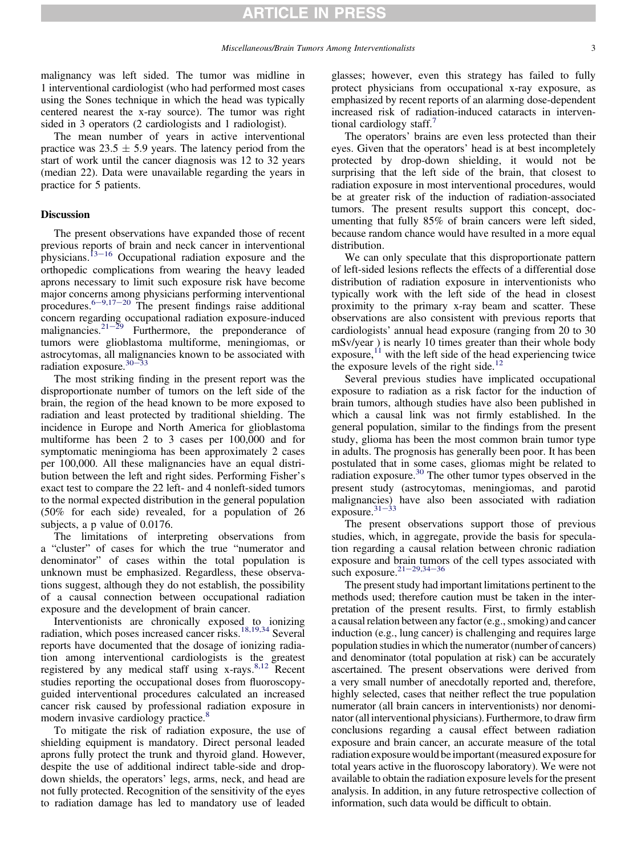malignancy was left sided. The tumor was midline in 1 interventional cardiologist (who had performed most cases using the Sones technique in which the head was typically centered nearest the x-ray source). The tumor was right sided in 3 operators (2 cardiologists and 1 radiologist).

The mean number of years in active interventional practice was  $23.5 \pm 5.9$  years. The latency period from the start of work until the cancer diagnosis was 12 to 32 years (median 22). Data were unavailable regarding the years in practice for 5 patients.

### **Discussion**

The present observations have expanded those of recent previous reports of brain and neck cancer in interventional physicians.<sup>[13](#page-3-0)–[16](#page-3-0)</sup> Occupational radiation exposure and the orthopedic complications from wearing the heavy leaded aprons necessary to limit such exposure risk have become major concerns among physicians performing interventional procedures.<sup>[6](#page-3-0)-[9,17](#page-3-0)-[20](#page-3-0)</sup> The present findings raise additional concern regarding occupational radiation exposure-induced malignancies. $21-\frac{29}{9}$  $21-\frac{29}{9}$  $21-\frac{29}{9}$  $21-\frac{29}{9}$  Furthermore, the preponderance of tumors were glioblastoma multiforme, meningiomas, or astrocytomas, all malignancies known to be associated with radiation exposure. $30-33$  $30-33$  $30-33$ 

The most striking finding in the present report was the disproportionate number of tumors on the left side of the brain, the region of the head known to be more exposed to radiation and least protected by traditional shielding. The incidence in Europe and North America for glioblastoma multiforme has been 2 to 3 cases per 100,000 and for symptomatic meningioma has been approximately 2 cases per 100,000. All these malignancies have an equal distribution between the left and right sides. Performing Fisher's exact test to compare the 22 left- and 4 nonleft-sided tumors to the normal expected distribution in the general population (50% for each side) revealed, for a population of 26 subjects, a p value of 0.0176.

The limitations of interpreting observations from a "cluster" of cases for which the true "numerator and denominator" of cases within the total population is unknown must be emphasized. Regardless, these observations suggest, although they do not establish, the possibility of a causal connection between occupational radiation exposure and the development of brain cancer.

Interventionists are chronically exposed to ionizing radiation, which poses increased cancer risks.<sup>[18,19,34](#page-3-0)</sup> Several reports have documented that the dosage of ionizing radiation among interventional cardiologists is the greatest registered by any medical staff using  $x$ -rays.<sup>[8,12](#page-3-0)</sup> Recent studies reporting the occupational doses from fluoroscopyguided interventional procedures calculated an increased cancer risk caused by professional radiation exposure in modern invasive cardiology practice.<sup>[8](#page-3-0)</sup>

To mitigate the risk of radiation exposure, the use of shielding equipment is mandatory. Direct personal leaded aprons fully protect the trunk and thyroid gland. However, despite the use of additional indirect table-side and dropdown shields, the operators' legs, arms, neck, and head are not fully protected. Recognition of the sensitivity of the eyes to radiation damage has led to mandatory use of leaded

glasses; however, even this strategy has failed to fully protect physicians from occupational x-ray exposure, as emphasized by recent reports of an alarming dose-dependent increased risk of radiation-induced cataracts in interven-tional cardiology staff.<sup>[7](#page-3-0)</sup>

The operators' brains are even less protected than their eyes. Given that the operators' head is at best incompletely protected by drop-down shielding, it would not be surprising that the left side of the brain, that closest to radiation exposure in most interventional procedures, would be at greater risk of the induction of radiation-associated tumors. The present results support this concept, documenting that fully 85% of brain cancers were left sided, because random chance would have resulted in a more equal distribution.

We can only speculate that this disproportionate pattern of left-sided lesions reflects the effects of a differential dose distribution of radiation exposure in interventionists who typically work with the left side of the head in closest proximity to the primary x-ray beam and scatter. These observations are also consistent with previous reports that cardiologists' annual head exposure (ranging from 20 to 30 mSv/year ) is nearly 10 times greater than their whole body  $exposure$ ,<sup>[11](#page-3-0)</sup> with the left side of the head experiencing twice the exposure levels of the right side.<sup>1</sup>

Several previous studies have implicated occupational exposure to radiation as a risk factor for the induction of brain tumors, although studies have also been published in which a causal link was not firmly established. In the general population, similar to the findings from the present study, glioma has been the most common brain tumor type in adults. The prognosis has generally been poor. It has been postulated that in some cases, gliomas might be related to radiation exposure. $30$  The other tumor types observed in the present study (astrocytomas, meningiomas, and parotid malignancies) have also been associated with radiation exposure. $31-33$  $31-33$  $31-33$ 

The present observations support those of previous studies, which, in aggregate, provide the basis for speculation regarding a causal relation between chronic radiation exposure and brain tumors of the cell types associated with such exposure.<sup>[21](#page-3-0)-[29,34](#page-3-0)-[36](#page-3-0)</sup>

The present study had important limitations pertinent to the methods used; therefore caution must be taken in the interpretation of the present results. First, to firmly establish a causal relation between any factor (e.g., smoking) and cancer induction (e.g., lung cancer) is challenging and requires large population studies in which the numerator (number of cancers) and denominator (total population at risk) can be accurately ascertained. The present observations were derived from a very small number of anecdotally reported and, therefore, highly selected, cases that neither reflect the true population numerator (all brain cancers in interventionists) nor denominator (all interventional physicians). Furthermore, to draw firm conclusions regarding a causal effect between radiation exposure and brain cancer, an accurate measure of the total radiation exposure would be important (measured exposure for total years active in the fluoroscopy laboratory). We were not available to obtain the radiation exposure levels for the present analysis. In addition, in any future retrospective collection of information, such data would be difficult to obtain.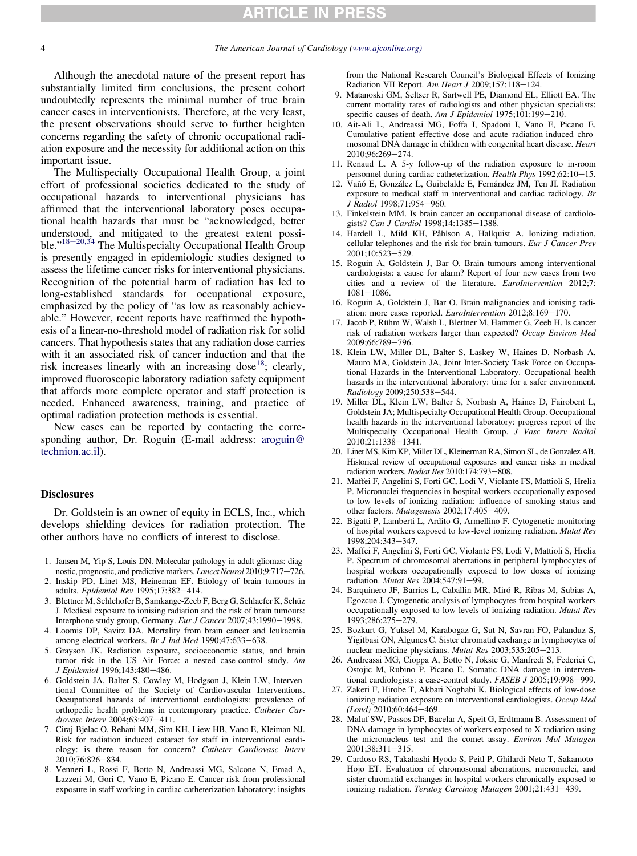## **RTICLE**

### The American Journal of Cardiology [\(www.ajconline.org](http://www.ajconline.org))

<span id="page-3-0"></span>Although the anecdotal nature of the present report has substantially limited firm conclusions, the present cohort undoubtedly represents the minimal number of true brain cancer cases in interventionists. Therefore, at the very least, the present observations should serve to further heighten concerns regarding the safety of chronic occupational radiation exposure and the necessity for additional action on this important issue.

The Multispecialty Occupational Health Group, a joint effort of professional societies dedicated to the study of occupational hazards to interventional physicians has affirmed that the interventional laboratory poses occupational health hazards that must be "acknowledged, better understood, and mitigated to the greatest extent possible."<sup>18-20,34</sup> The Multispecialty Occupational Health Group is presently engaged in epidemiologic studies designed to assess the lifetime cancer risks for interventional physicians. Recognition of the potential harm of radiation has led to long-established standards for occupational exposure, emphasized by the policy of "as low as reasonably achievable." However, recent reports have reaffirmed the hypothesis of a linear-no-threshold model of radiation risk for solid cancers. That hypothesis states that any radiation dose carries with it an associated risk of cancer induction and that the risk increases linearly with an increasing dose<sup>18</sup>; clearly, improved fluoroscopic laboratory radiation safety equipment that affords more complete operator and staff protection is needed. Enhanced awareness, training, and practice of optimal radiation protection methods is essential.

New cases can be reported by contacting the corresponding author, Dr. Roguin (E-mail address: [aroguin@](mailto:aroguin@technion.ac.il) [technion.ac.il](mailto:aroguin@technion.ac.il)).

### **Disclosures**

Dr. Goldstein is an owner of equity in ECLS, Inc., which develops shielding devices for radiation protection. The other authors have no conflicts of interest to disclose.

- 1. Jansen M, Yip S, Louis DN. Molecular pathology in adult gliomas: diagnostic, prognostic, and predictive markers. Lancet Neurol 2010;9:717-726.
- 2. Inskip PD, Linet MS, Heineman EF. Etiology of brain tumours in adults. Epidemiol Rev 1995;17:382-414.
- 3. Blettner M, Schlehofer B, Samkange-Zeeb F, Berg G, Schlaefer K, Schüz J. Medical exposure to ionising radiation and the risk of brain tumours: Interphone study group, Germany. Eur J Cancer 2007;43:1990-1998.
- 4. Loomis DP, Savitz DA. Mortality from brain cancer and leukaemia among electrical workers. Br J Ind Med 1990;47:633-638.
- 5. Grayson JK. Radiation exposure, socioeconomic status, and brain tumor risk in the US Air Force: a nested case-control study. Am J Epidemiol 1996;143:480-486.
- 6. Goldstein JA, Balter S, Cowley M, Hodgson J, Klein LW, Interventional Committee of the Society of Cardiovascular Interventions. Occupational hazards of interventional cardiologists: prevalence of orthopedic health problems in contemporary practice. Catheter Cardiovasc Interv 2004;63:407-411.
- 7. Ciraj-Bjelac O, Rehani MM, Sim KH, Liew HB, Vano E, Kleiman NJ. Risk for radiation induced cataract for staff in interventional cardiology: is there reason for concern? Catheter Cardiovasc Interv 2010;76:826-834.
- 8. Venneri L, Rossi F, Botto N, Andreassi MG, Salcone N, Emad A, Lazzeri M, Gori C, Vano E, Picano E. Cancer risk from professional exposure in staff working in cardiac catheterization laboratory: insights

from the National Research Council's Biological Effects of Ionizing Radiation VII Report. Am Heart J 2009;157:118-124.

- 9. Matanoski GM, Seltser R, Sartwell PE, Diamond EL, Elliott EA. The current mortality rates of radiologists and other physician specialists: specific causes of death. Am J Epidemiol 1975;101:199-210.
- 10. Ait-Ali L, Andreassi MG, Foffa I, Spadoni I, Vano E, Picano E. Cumulative patient effective dose and acute radiation-induced chromosomal DNA damage in children with congenital heart disease. Heart 2010;96:269-274.
- 11. Renaud L. A 5-y follow-up of the radiation exposure to in-room personnel during cardiac catheterization. Health Phys 1992;62:10-15.
- 12. Vañó E, González L, Guibelalde E, Fernández JM, Ten JI. Radiation exposure to medical staff in interventional and cardiac radiology. Br J Radiol 1998:71:954-960.
- 13. Finkelstein MM. Is brain cancer an occupational disease of cardiologists? Can J Cardiol 1998;14:1385-1388.
- 14. Hardell L, Mild KH, Påhlson A, Hallquist A. Ionizing radiation, cellular telephones and the risk for brain tumours. Eur J Cancer Prev 2001;10:523-529.
- 15. Roguin A, Goldstein J, Bar O. Brain tumours among interventional cardiologists: a cause for alarm? Report of four new cases from two cities and a review of the literature. EuroIntervention 2012;7:  $1081 - 1086$ .
- 16. Roguin A, Goldstein J, Bar O. Brain malignancies and ionising radiation: more cases reported. EuroIntervention 2012;8:169-170.
- 17. Jacob P, Rühm W, Walsh L, Blettner M, Hammer G, Zeeb H. Is cancer risk of radiation workers larger than expected? Occup Environ Med 2009;66:789-796.
- 18. Klein LW, Miller DL, Balter S, Laskey W, Haines D, Norbash A, Mauro MA, Goldstein JA, Joint Inter-Society Task Force on Occupational Hazards in the Interventional Laboratory. Occupational health hazards in the interventional laboratory: time for a safer environment. Radiology 2009:250:538-544.
- 19. Miller DL, Klein LW, Balter S, Norbash A, Haines D, Fairobent L, Goldstein JA; Multispecialty Occupational Health Group. Occupational health hazards in the interventional laboratory: progress report of the Multispecialty Occupational Health Group. J Vasc Interv Radiol 2010;21:1338-1341.
- 20. Linet MS, Kim KP, Miller DL, Kleinerman RA, Simon SL, de Gonzalez AB. Historical review of occupational exposures and cancer risks in medical radiation workers. Radiat Res 2010;174:793-808.
- 21. Maffei F, Angelini S, Forti GC, Lodi V, Violante FS, Mattioli S, Hrelia P. Micronuclei frequencies in hospital workers occupationally exposed to low levels of ionizing radiation: influence of smoking status and other factors. Mutagenesis 2002;17:405-409.
- 22. Bigatti P, Lamberti L, Ardito G, Armellino F. Cytogenetic monitoring of hospital workers exposed to low-level ionizing radiation. Mutat Res 1998;204:343-347.
- 23. Maffei F, Angelini S, Forti GC, Violante FS, Lodi V, Mattioli S, Hrelia P. Spectrum of chromosomal aberrations in peripheral lymphocytes of hospital workers occupationally exposed to low doses of ionizing radiation. Mutat Res 2004;547:91-99.
- 24. Barquinero JF, Barrios L, Caballin MR, Miró R, Ribas M, Subias A, Egozcue J. Cytogenetic analysis of lymphocytes from hospital workers occupationally exposed to low levels of ionizing radiation. Mutat Res 1993;286:275-279.
- 25. Bozkurt G, Yuksel M, Karabogaz G, Sut N, Savran FO, Palanduz S, Yigitbasi ON, Algunes C. Sister chromatid exchange in lymphocytes of nuclear medicine physicians. Mutat Res 2003;535:205-213.
- 26. Andreassi MG, Cioppa A, Botto N, Joksic G, Manfredi S, Federici C, Ostojic M, Rubino P, Picano E. Somatic DNA damage in interventional cardiologists: a case-control study.  $FASEB$  J  $2005;19:998-999$ .
- 27. Zakeri F, Hirobe T, Akbari Noghabi K. Biological effects of low-dose ionizing radiation exposure on interventional cardiologists. Occup Med  $(Lond)$  2010;60:464-469.
- 28. Maluf SW, Passos DF, Bacelar A, Speit G, Erdtmann B. Assessment of DNA damage in lymphocytes of workers exposed to X-radiation using the micronucleus test and the comet assay. Environ Mol Mutagen 2001;38:311-315.
- 29. Cardoso RS, Takahashi-Hyodo S, Peitl P, Ghilardi-Neto T, Sakamoto-Hojo ET. Evaluation of chromosomal aberrations, micronuclei, and sister chromatid exchanges in hospital workers chronically exposed to ionizing radiation. Teratog Carcinog Mutagen 2001;21:431-439.